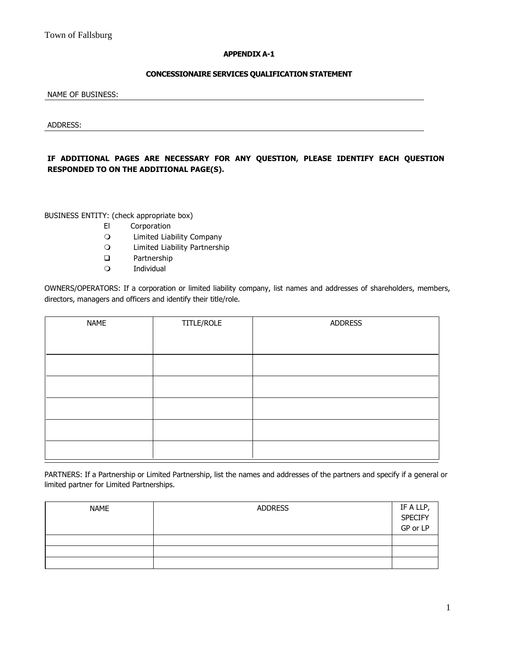## **APPENDIX A-1**

## **CONCESSIONAIRE SERVICES QUALIFICATION STATEMENT**

NAME OF BUSINESS:

ADDRESS:

**IF ADDITIONAL PAGES ARE NECESSARY FOR ANY QUESTION, PLEASE IDENTIFY EACH QUESTION RESPONDED TO ON THE ADDITIONAL PAGE(S).**

BUSINESS ENTITY: (check appropriate box)

- El Corporation
- Limited Liability Company
- Limited Liability Partnership
- □ Partnership
- Individual

OWNERS/OPERATORS: If a corporation or limited liability company, list names and addresses of shareholders, members, directors, managers and officers and identify their title/role.

| <b>NAME</b> | TITLE/ROLE | <b>ADDRESS</b> |
|-------------|------------|----------------|
|             |            |                |
|             |            |                |
|             |            |                |
|             |            |                |
|             |            |                |

PARTNERS: If a Partnership or Limited Partnership, list the names and addresses of the partners and specify if a general or limited partner for Limited Partnerships.

| <b>NAME</b> | <b>ADDRESS</b> | IF A LLP,<br>SPECIFY<br>GP or LP |
|-------------|----------------|----------------------------------|
|             |                |                                  |
|             |                |                                  |
|             |                |                                  |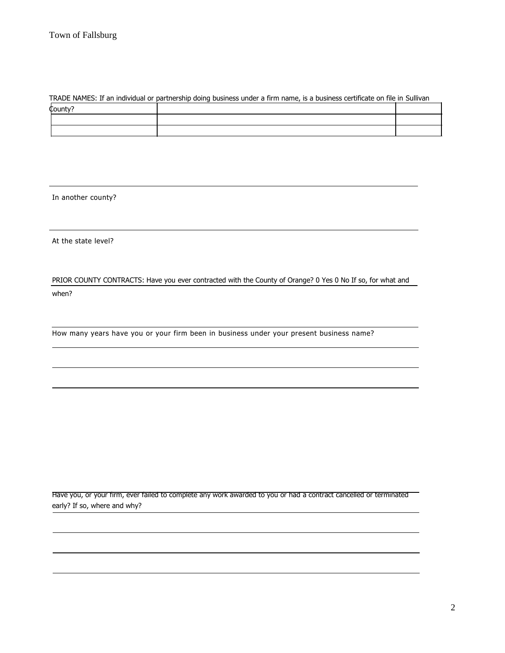## TRADE NAMES: If an individual or partnership doing business under a firm name, is a business certificate on file in Sullivan

| County? |  |
|---------|--|
|         |  |
|         |  |

In another county?

At the state level?

PRIOR COUNTY CONTRACTS: Have you ever contracted with the County of Orange? 0 Yes 0 No If so, for what and when?

How many years have you or your firm been in business under your present business name?

Have you, or your firm, ever failed to complete any work awarded to you or had a contract cancelled or terminated early? If so, where and why?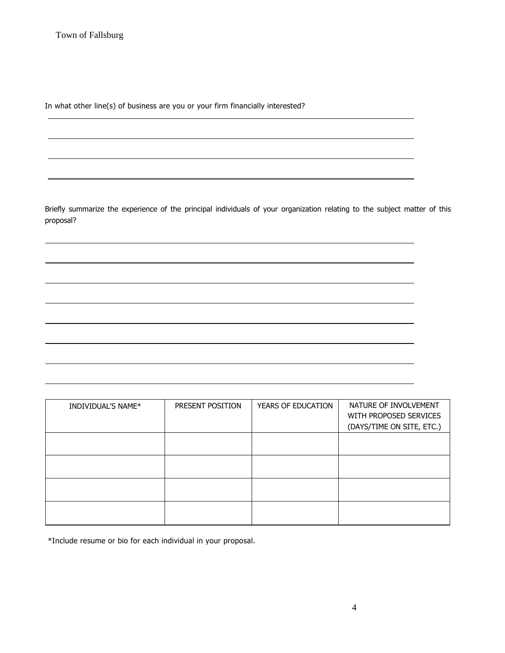In what other line(s) of business are you or your firm financially interested?

Briefly summarize the experience of the principal individuals of your organization relating to the subject matter of this proposal?

INDIVIDUAL'S NAME\* | PRESENT POSITION | YEARS OF EDUCATION | NATURE OF INVOLVEMENT WITH PROPOSED SERVICES (DAYS/TIME ON SITE, ETC.)

\*Include resume or bio for each individual in your proposal.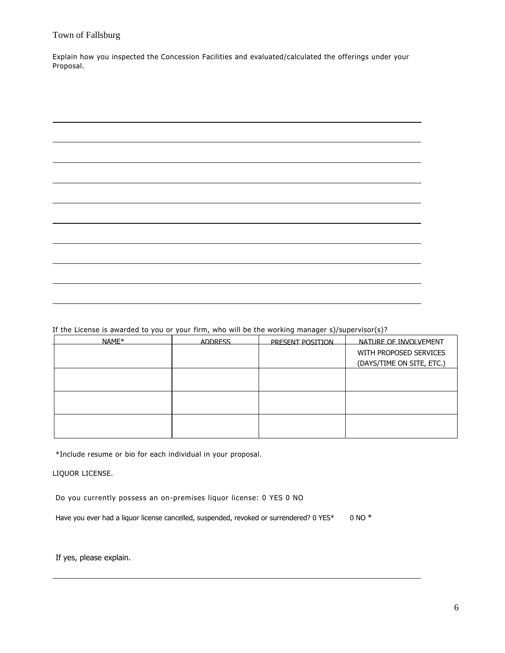Explain how you inspected the Concession Facilities and evaluated/calculated the offerings under your Proposal.

If the License is awarded to you or your firm, who will be the working manager s)/supervisor(s)?

| NAME* | <b>ADDRESS</b> | PRESENT POSITION | NATURE OF INVOLVEMENT     |
|-------|----------------|------------------|---------------------------|
|       |                |                  | WITH PROPOSED SERVICES    |
|       |                |                  | (DAYS/TIME ON SITE, ETC.) |
|       |                |                  |                           |
|       |                |                  |                           |
|       |                |                  |                           |
|       |                |                  |                           |
|       |                |                  |                           |
|       |                |                  |                           |

\*Include resume or bio for each individual in your proposal.

LIQUOR LICENSE.

Do you currently possess an on-premises liquor license: 0 YES 0 NO

Have you ever had a liquor license cancelled, suspended, revoked or surrendered? 0 YES\* 0 NO \*

If yes, please explain.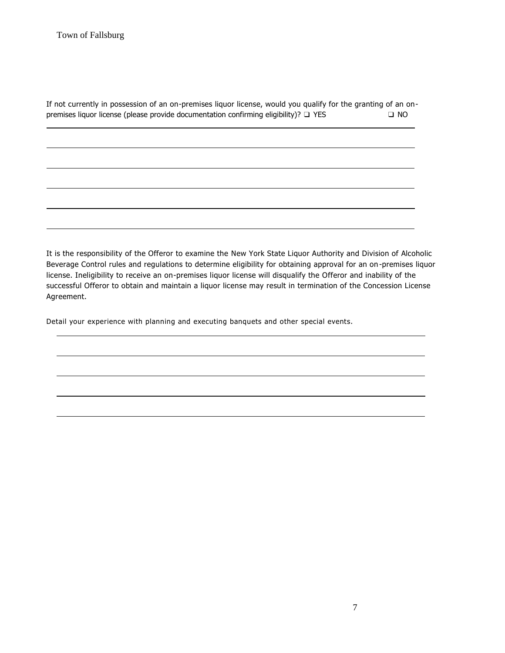| If not currently in possession of an on-premises liquor license, would you qualify for the granting of an on- |      |  |
|---------------------------------------------------------------------------------------------------------------|------|--|
| premises liquor license (please provide documentation confirming eligibility)? $\Box$ YES                     | O NO |  |

It is the responsibility of the Offeror to examine the New York State Liquor Authority and Division of Alcoholic Beverage Control rules and regulations to determine eligibility for obtaining approval for an on-premises liquor license. Ineligibility to receive an on-premises liquor license will disqualify the Offeror and inability of the successful Offeror to obtain and maintain a liquor license may result in termination of the Concession License Agreement.

Detail your experience with planning and executing banquets and other special events.